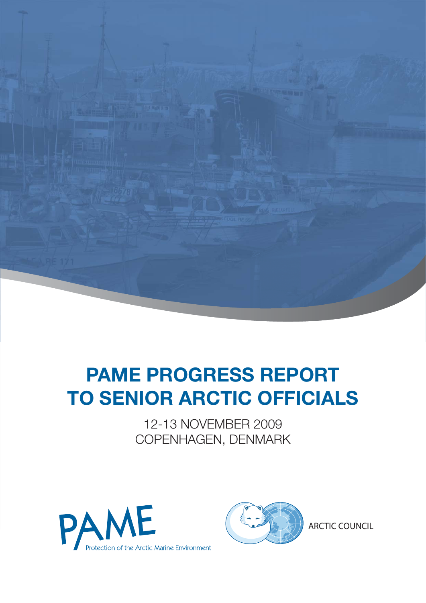

# **PAME PROGRESS REPORT TO SENIOR ARCTIC OFFICIALS**

12-13 NOVEMBER 2009 COPENHAGEN, DENMARK





ARCTIC COUNCIL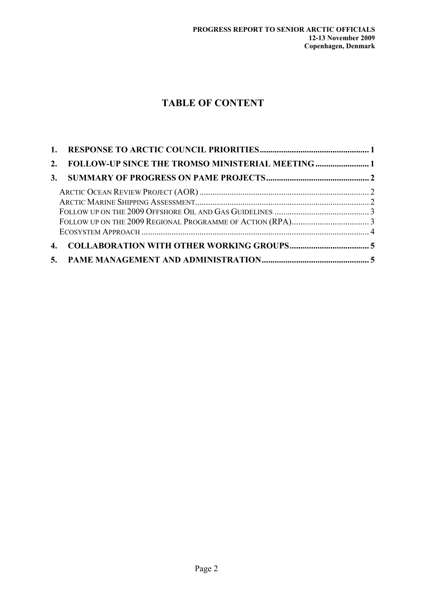## **TABLE OF CONTENT**

| 2.             |  |
|----------------|--|
|                |  |
|                |  |
|                |  |
|                |  |
|                |  |
|                |  |
| $\mathbf{4}$ . |  |
|                |  |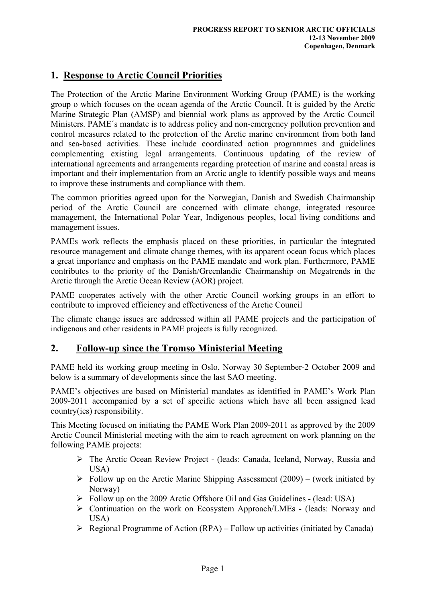## **1. Response to Arctic Council Priorities**

The Protection of the Arctic Marine Environment Working Group (PAME) is the working group o which focuses on the ocean agenda of the Arctic Council. It is guided by the Arctic Marine Strategic Plan (AMSP) and biennial work plans as approved by the Arctic Council Ministers. PAME´s mandate is to address policy and non-emergency pollution prevention and control measures related to the protection of the Arctic marine environment from both land and sea-based activities. These include coordinated action programmes and guidelines complementing existing legal arrangements. Continuous updating of the review of international agreements and arrangements regarding protection of marine and coastal areas is important and their implementation from an Arctic angle to identify possible ways and means to improve these instruments and compliance with them.

The common priorities agreed upon for the Norwegian, Danish and Swedish Chairmanship period of the Arctic Council are concerned with climate change, integrated resource management, the International Polar Year, Indigenous peoples, local living conditions and management issues.

PAMEs work reflects the emphasis placed on these priorities, in particular the integrated resource management and climate change themes, with its apparent ocean focus which places a great importance and emphasis on the PAME mandate and work plan. Furthermore, PAME contributes to the priority of the Danish/Greenlandic Chairmanship on Megatrends in the Arctic through the Arctic Ocean Review (AOR) project.

PAME cooperates actively with the other Arctic Council working groups in an effort to contribute to improved efficiency and effectiveness of the Arctic Council

The climate change issues are addressed within all PAME projects and the participation of indigenous and other residents in PAME projects is fully recognized.

### **2. Follow-up since the Tromso Ministerial Meeting**

PAME held its working group meeting in Oslo, Norway 30 September-2 October 2009 and below is a summary of developments since the last SAO meeting.

PAME's objectives are based on Ministerial mandates as identified in PAME's Work Plan 2009-2011 accompanied by a set of specific actions which have all been assigned lead country(ies) responsibility.

This Meeting focused on initiating the PAME Work Plan 2009-2011 as approved by the 2009 Arctic Council Ministerial meeting with the aim to reach agreement on work planning on the following PAME projects:

- ¾ The Arctic Ocean Review Project (leads: Canada, Iceland, Norway, Russia and USA)
- $\triangleright$  Follow up on the Arctic Marine Shipping Assessment (2009) (work initiated by Norway)
- ¾ Follow up on the 2009 Arctic Offshore Oil and Gas Guidelines (lead: USA)
- ¾ Continuation on the work on Ecosystem Approach/LMEs (leads: Norway and USA)
- $\triangleright$  Regional Programme of Action (RPA) Follow up activities (initiated by Canada)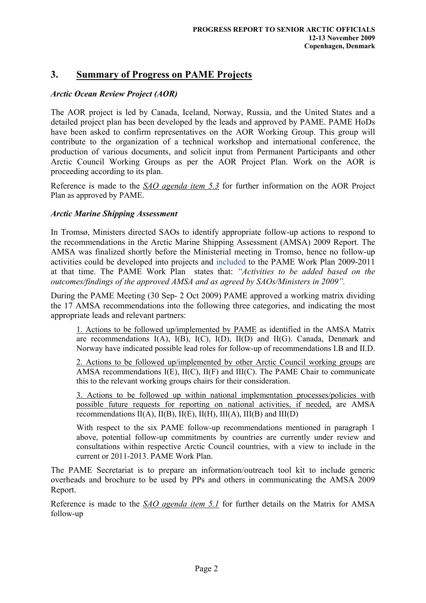## **3. Summary of Progress on PAME Projects**

#### *Arctic Ocean Review Project (AOR)*

The AOR project is led by Canada, Iceland, Norway, Russia, and the United States and a detailed project plan has been developed by the leads and approved by PAME. PAME HoDs have been asked to confirm representatives on the AOR Working Group. This group will contribute to the organization of a technical workshop and international conference, the production of various documents, and solicit input from Permanent Participants and other Arctic Council Working Groups as per the AOR Project Plan. Work on the AOR is proceeding according to its plan.

Reference is made to the *SAO agenda item 5.3* for further information on the AOR Project Plan as approved by PAME.

#### *Arctic Marine Shipping Assessment*

In Tromsø, Ministers directed SAOs to identify appropriate follow-up actions to respond to the recommendations in the Arctic Marine Shipping Assessment (AMSA) 2009 Report. The AMSA was finalized shortly before the Ministerial meeting in Tromso, hence no follow-up activities could be developed into projects and included to the PAME Work Plan 2009-2011 at that time. The PAME Work Plan states that: *"Activities to be added based on the outcomes/findings of the approved AMSA and as agreed by SAOs/Ministers in 2009".* 

During the PAME Meeting (30 Sep- 2 Oct 2009) PAME approved a working matrix dividing the 17 AMSA recommendations into the following three categories, and indicating the most appropriate leads and relevant partners:

1. Actions to be followed up/implemented by PAME as identified in the AMSA Matrix are recommendations  $I(A)$ ,  $I(B)$ ,  $I(C)$ ,  $I(D)$ ,  $II(D)$  and  $II(G)$ . Canada, Denmark and Norway have indicated possible lead roles for follow-up of recommendations I.B and II.D.

2. Actions to be followed up/implemented by other Arctic Council working groups are AMSA recommendations I(E), II(C), II(F) and III(C). The PAME Chair to communicate this to the relevant working groups chairs for their consideration.

3. Actions to be followed up within national implementation processes/policies with possible future requests for reporting on national activities, if needed, are AMSA recommendations  $II(A)$ ,  $II(B)$ ,  $II(E)$ ,  $II(H)$ ,  $III(A)$ ,  $III(B)$  and  $III(D)$ 

With respect to the six PAME follow-up recommendations mentioned in paragraph 1 above, potential follow-up commitments by countries are currently under review and consultations within respective Arctic Council countries, with a view to include in the current or 2011-2013. PAME Work Plan.

The PAME Secretariat is to prepare an information/outreach tool kit to include generic overheads and brochure to be used by PPs and others in communicating the AMSA 2009 Report.

Reference is made to the *SAO agenda item 5.1* for further details on the Matrix for AMSA follow-up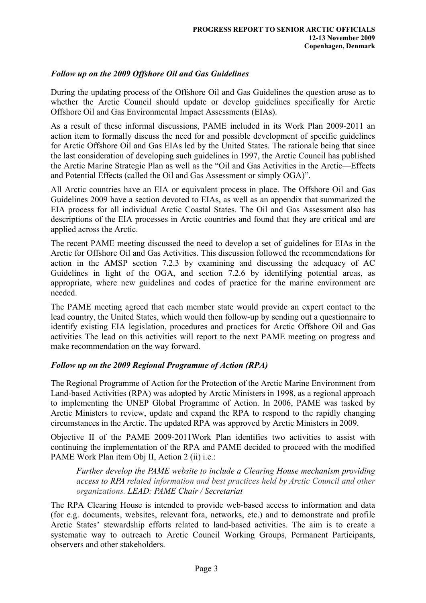#### *Follow up on the 2009 Offshore Oil and Gas Guidelines*

During the updating process of the Offshore Oil and Gas Guidelines the question arose as to whether the Arctic Council should update or develop guidelines specifically for Arctic Offshore Oil and Gas Environmental Impact Assessments (EIAs).

As a result of these informal discussions, PAME included in its Work Plan 2009-2011 an action item to formally discuss the need for and possible development of specific guidelines for Arctic Offshore Oil and Gas EIAs led by the United States. The rationale being that since the last consideration of developing such guidelines in 1997, the Arctic Council has published the Arctic Marine Strategic Plan as well as the "Oil and Gas Activities in the Arctic—Effects and Potential Effects (called the Oil and Gas Assessment or simply OGA)".

All Arctic countries have an EIA or equivalent process in place. The Offshore Oil and Gas Guidelines 2009 have a section devoted to EIAs, as well as an appendix that summarized the EIA process for all individual Arctic Coastal States. The Oil and Gas Assessment also has descriptions of the EIA processes in Arctic countries and found that they are critical and are applied across the Arctic.

The recent PAME meeting discussed the need to develop a set of guidelines for EIAs in the Arctic for Offshore Oil and Gas Activities. This discussion followed the recommendations for action in the AMSP section 7.2.3 by examining and discussing the adequacy of AC Guidelines in light of the OGA, and section 7.2.6 by identifying potential areas, as appropriate, where new guidelines and codes of practice for the marine environment are needed.

The PAME meeting agreed that each member state would provide an expert contact to the lead country, the United States, which would then follow-up by sending out a questionnaire to identify existing EIA legislation, procedures and practices for Arctic Offshore Oil and Gas activities The lead on this activities will report to the next PAME meeting on progress and make recommendation on the way forward.

#### *Follow up on the 2009 Regional Programme of Action (RPA)*

The Regional Programme of Action for the Protection of the Arctic Marine Environment from Land-based Activities (RPA) was adopted by Arctic Ministers in 1998, as a regional approach to implementing the UNEP Global Programme of Action. In 2006, PAME was tasked by Arctic Ministers to review, update and expand the RPA to respond to the rapidly changing circumstances in the Arctic. The updated RPA was approved by Arctic Ministers in 2009.

Objective II of the PAME 2009-2011Work Plan identifies two activities to assist with continuing the implementation of the RPA and PAME decided to proceed with the modified PAME Work Plan item Obj II, Action 2 (ii) i.e.:

*Further develop the PAME website to include a Clearing House mechanism providing access to RPA related information and best practices held by Arctic Council and other organizations. LEAD: PAME Chair / Secretariat* 

The RPA Clearing House is intended to provide web-based access to information and data (for e.g. documents, websites, relevant fora, networks, etc.) and to demonstrate and profile Arctic States' stewardship efforts related to land-based activities. The aim is to create a systematic way to outreach to Arctic Council Working Groups, Permanent Participants, observers and other stakeholders.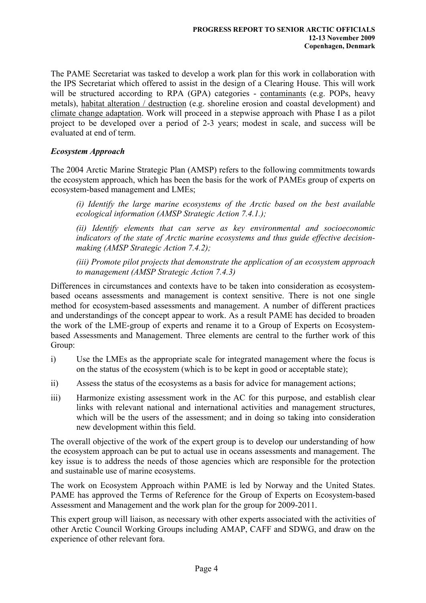The PAME Secretariat was tasked to develop a work plan for this work in collaboration with the IPS Secretariat which offered to assist in the design of a Clearing House. This will work will be structured according to RPA (GPA) categories - contaminants (e.g. POPs, heavy metals), habitat alteration / destruction (e.g. shoreline erosion and coastal development) and climate change adaptation. Work will proceed in a stepwise approach with Phase I as a pilot project to be developed over a period of 2-3 years; modest in scale, and success will be evaluated at end of term.

#### *Ecosystem Approach*

The 2004 Arctic Marine Strategic Plan (AMSP) refers to the following commitments towards the ecosystem approach, which has been the basis for the work of PAMEs group of experts on ecosystem-based management and LMEs;

*(i) Identify the large marine ecosystems of the Arctic based on the best available ecological information (AMSP Strategic Action 7.4.1.);* 

*(ii) Identify elements that can serve as key environmental and socioeconomic indicators of the state of Arctic marine ecosystems and thus guide effective decisionmaking (AMSP Strategic Action 7.4.2);* 

*(iii) Promote pilot projects that demonstrate the application of an ecosystem approach to management (AMSP Strategic Action 7.4.3)* 

Differences in circumstances and contexts have to be taken into consideration as ecosystembased oceans assessments and management is context sensitive. There is not one single method for ecosystem-based assessments and management. A number of different practices and understandings of the concept appear to work. As a result PAME has decided to broaden the work of the LME-group of experts and rename it to a Group of Experts on Ecosystembased Assessments and Management. Three elements are central to the further work of this Group:

- i) Use the LMEs as the appropriate scale for integrated management where the focus is on the status of the ecosystem (which is to be kept in good or acceptable state);
- ii) Assess the status of the ecosystems as a basis for advice for management actions;
- iii) Harmonize existing assessment work in the AC for this purpose, and establish clear links with relevant national and international activities and management structures, which will be the users of the assessment; and in doing so taking into consideration new development within this field.

The overall objective of the work of the expert group is to develop our understanding of how the ecosystem approach can be put to actual use in oceans assessments and management. The key issue is to address the needs of those agencies which are responsible for the protection and sustainable use of marine ecosystems.

The work on Ecosystem Approach within PAME is led by Norway and the United States. PAME has approved the Terms of Reference for the Group of Experts on Ecosystem-based Assessment and Management and the work plan for the group for 2009-2011.

This expert group will liaison, as necessary with other experts associated with the activities of other Arctic Council Working Groups including AMAP, CAFF and SDWG, and draw on the experience of other relevant fora.